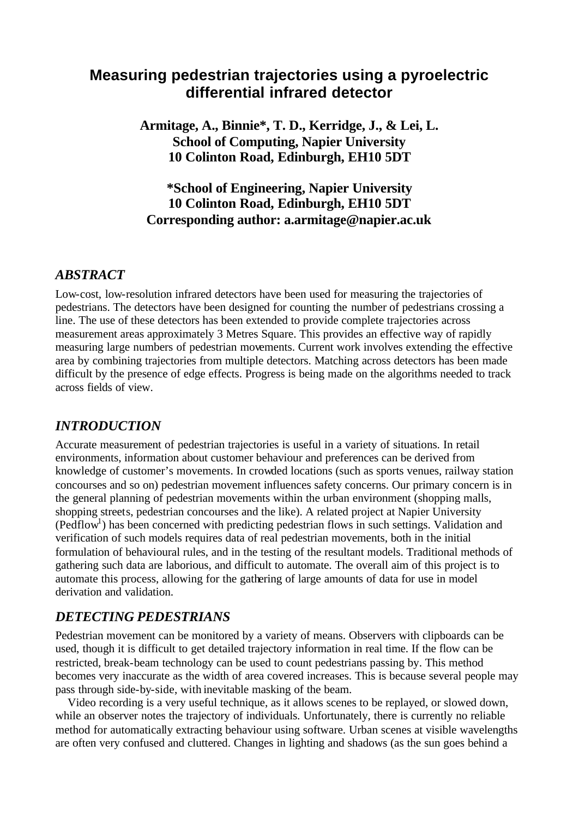# **Measuring pedestrian trajectories using a pyroelectric differential infrared detector**

**Armitage, A., Binnie\*, T. D., Kerridge, J., & Lei, L. School of Computing, Napier University 10 Colinton Road, Edinburgh, EH10 5DT**

**\*School of Engineering, Napier University 10 Colinton Road, Edinburgh, EH10 5DT Corresponding author: a.armitage@napier.ac.uk**

### *ABSTRACT*

Low-cost, low-resolution infrared detectors have been used for measuring the trajectories of pedestrians. The detectors have been designed for counting the number of pedestrians crossing a line. The use of these detectors has been extended to provide complete trajectories across measurement areas approximately 3 Metres Square. This provides an effective way of rapidly measuring large numbers of pedestrian movements. Current work involves extending the effective area by combining trajectories from multiple detectors. Matching across detectors has been made difficult by the presence of edge effects. Progress is being made on the algorithms needed to track across fields of view.

## *INTRODUCTION*

Accurate measurement of pedestrian trajectories is useful in a variety of situations. In retail environments, information about customer behaviour and preferences can be derived from knowledge of customer's movements. In crowded locations (such as sports venues, railway station concourses and so on) pedestrian movement influences safety concerns. Our primary concern is in the general planning of pedestrian movements within the urban environment (shopping malls, shopping streets, pedestrian concourses and the like). A related project at Napier University (Pedflow<sup>1</sup>) has been concerned with predicting pedestrian flows in such settings. Validation and verification of such models requires data of real pedestrian movements, both in the initial formulation of behavioural rules, and in the testing of the resultant models. Traditional methods of gathering such data are laborious, and difficult to automate. The overall aim of this project is to automate this process, allowing for the gathering of large amounts of data for use in model derivation and validation.

# *DETECTING PEDESTRIANS*

Pedestrian movement can be monitored by a variety of means. Observers with clipboards can be used, though it is difficult to get detailed trajectory information in real time. If the flow can be restricted, break-beam technology can be used to count pedestrians passing by. This method becomes very inaccurate as the width of area covered increases. This is because several people may pass through side-by-side, with inevitable masking of the beam.

 Video recording is a very useful technique, as it allows scenes to be replayed, or slowed down, while an observer notes the trajectory of individuals. Unfortunately, there is currently no reliable method for automatically extracting behaviour using software. Urban scenes at visible wavelengths are often very confused and cluttered. Changes in lighting and shadows (as the sun goes behind a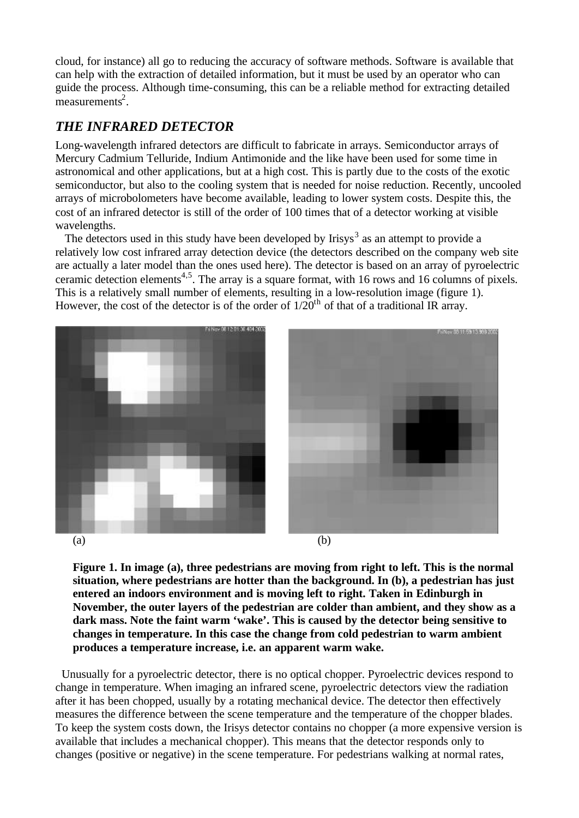cloud, for instance) all go to reducing the accuracy of software methods. Software is available that can help with the extraction of detailed information, but it must be used by an operator who can guide the process. Although time-consuming, this can be a reliable method for extracting detailed  $measures<sup>2</sup>$ .

## *THE INFRARED DETECTOR*

Long-wavelength infrared detectors are difficult to fabricate in arrays. Semiconductor arrays of Mercury Cadmium Telluride, Indium Antimonide and the like have been used for some time in astronomical and other applications, but at a high cost. This is partly due to the costs of the exotic semiconductor, but also to the cooling system that is needed for noise reduction. Recently, uncooled arrays of microbolometers have become available, leading to lower system costs. Despite this, the cost of an infrared detector is still of the order of 100 times that of a detector working at visible wavelengths.

The detectors used in this study have been developed by Irisys<sup>3</sup> as an attempt to provide a relatively low cost infrared array detection device (the detectors described on the company web site are actually a later model than the ones used here). The detector is based on an array of pyroelectric ceramic detection elements<sup>4,5</sup>. The array is a square format, with 16 rows and 16 columns of pixels. This is a relatively small number of elements, resulting in a low-resolution image (figure 1). However, the cost of the detector is of the order of  $1/20<sup>th</sup>$  of that of a traditional IR array.



**Figure 1. In image (a), three pedestrians are moving from right to left. This is the normal situation, where pedestrians are hotter than the background. In (b), a pedestrian has just entered an indoors environment and is moving left to right. Taken in Edinburgh in November, the outer layers of the pedestrian are colder than ambient, and they show as a dark mass. Note the faint warm 'wake'. This is caused by the detector being sensitive to changes in temperature. In this case the change from cold pedestrian to warm ambient produces a temperature increase, i.e. an apparent warm wake.**

 Unusually for a pyroelectric detector, there is no optical chopper. Pyroelectric devices respond to change in temperature. When imaging an infrared scene, pyroelectric detectors view the radiation after it has been chopped, usually by a rotating mechanical device. The detector then effectively measures the difference between the scene temperature and the temperature of the chopper blades. To keep the system costs down, the Irisys detector contains no chopper (a more expensive version is available that includes a mechanical chopper). This means that the detector responds only to changes (positive or negative) in the scene temperature. For pedestrians walking at normal rates,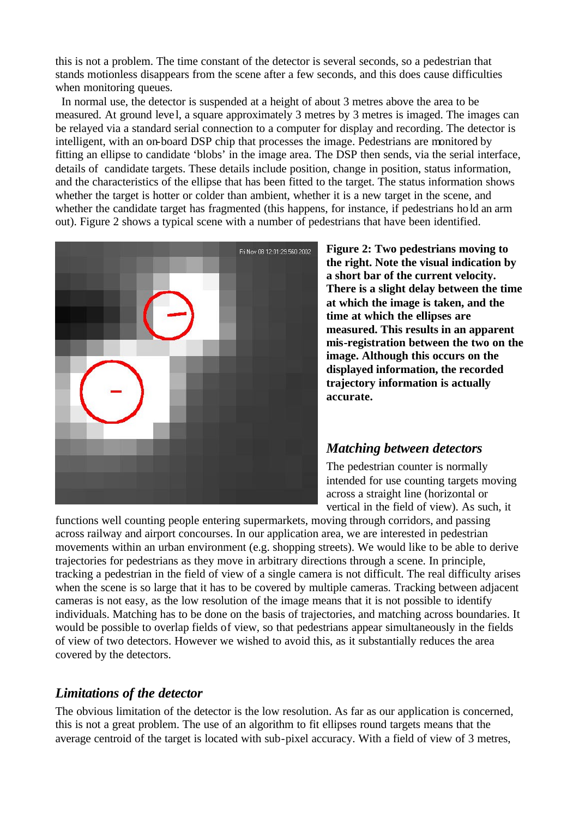this is not a problem. The time constant of the detector is several seconds, so a pedestrian that stands motionless disappears from the scene after a few seconds, and this does cause difficulties when monitoring queues.

 In normal use, the detector is suspended at a height of about 3 metres above the area to be measured. At ground level, a square approximately 3 metres by 3 metres is imaged. The images can be relayed via a standard serial connection to a computer for display and recording. The detector is intelligent, with an on-board DSP chip that processes the image. Pedestrians are monitored by fitting an ellipse to candidate 'blobs' in the image area. The DSP then sends, via the serial interface, details of candidate targets. These details include position, change in position, status information, and the characteristics of the ellipse that has been fitted to the target. The status information shows whether the target is hotter or colder than ambient, whether it is a new target in the scene, and whether the candidate target has fragmented (this happens, for instance, if pedestrians hold an arm out). Figure 2 shows a typical scene with a number of pedestrians that have been identified.



**Figure 2: Two pedestrians moving to the right. Note the visual indication by a short bar of the current velocity. There is a slight delay between the time at which the image is taken, and the time at which the ellipses are measured. This results in an apparent mis-registration between the two on the image. Although this occurs on the displayed information, the recorded trajectory information is actually accurate.**

#### *Matching between detectors*

The pedestrian counter is normally intended for use counting targets moving across a straight line (horizontal or vertical in the field of view). As such, it

functions well counting people entering supermarkets, moving through corridors, and passing across railway and airport concourses. In our application area, we are interested in pedestrian movements within an urban environment (e.g. shopping streets). We would like to be able to derive trajectories for pedestrians as they move in arbitrary directions through a scene. In principle, tracking a pedestrian in the field of view of a single camera is not difficult. The real difficulty arises when the scene is so large that it has to be covered by multiple cameras. Tracking between adjacent cameras is not easy, as the low resolution of the image means that it is not possible to identify individuals. Matching has to be done on the basis of trajectories, and matching across boundaries. It would be possible to overlap fields of view, so that pedestrians appear simultaneously in the fields of view of two detectors. However we wished to avoid this, as it substantially reduces the area covered by the detectors.

### *Limitations of the detector*

The obvious limitation of the detector is the low resolution. As far as our application is concerned, this is not a great problem. The use of an algorithm to fit ellipses round targets means that the average centroid of the target is located with sub-pixel accuracy. With a field of view of 3 metres,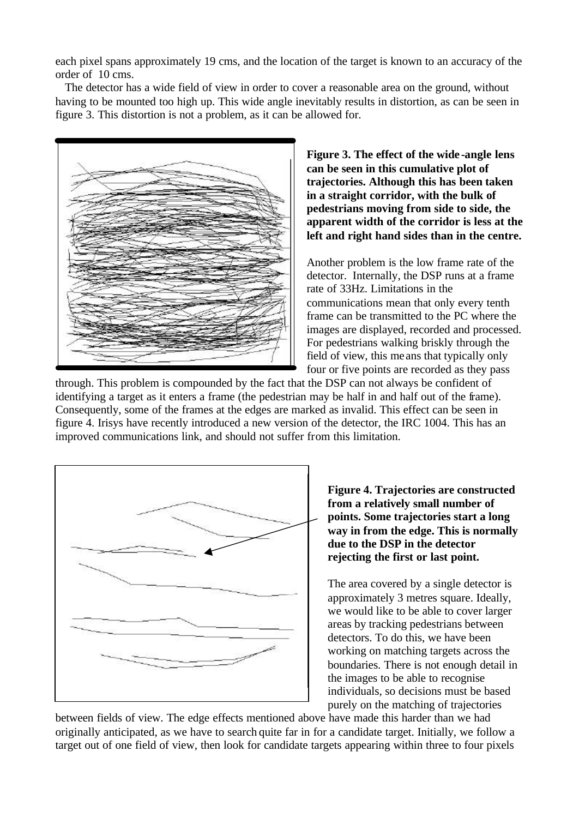each pixel spans approximately 19 cms, and the location of the target is known to an accuracy of the order of 10 cms.

 The detector has a wide field of view in order to cover a reasonable area on the ground, without having to be mounted too high up. This wide angle inevitably results in distortion, as can be seen in figure 3. This distortion is not a problem, as it can be allowed for.



**Figure 3. The effect of the wide -angle lens can be seen in this cumulative plot of trajectories. Although this has been taken in a straight corridor, with the bulk of pedestrians moving from side to side, the apparent width of the corridor is less at the left and right hand sides than in the centre.**

Another problem is the low frame rate of the detector. Internally, the DSP runs at a frame rate of 33Hz. Limitations in the communications mean that only every tenth frame can be transmitted to the PC where the images are displayed, recorded and processed. For pedestrians walking briskly through the field of view, this means that typically only four or five points are recorded as they pass

through. This problem is compounded by the fact that the DSP can not always be confident of identifying a target as it enters a frame (the pedestrian may be half in and half out of the frame). Consequently, some of the frames at the edges are marked as invalid. This effect can be seen in figure 4. Irisys have recently introduced a new version of the detector, the IRC 1004. This has an improved communications link, and should not suffer from this limitation.



**Figure 4. Trajectories are constructed from a relatively small number of points. Some trajectories start a long way in from the edge. This is normally due to the DSP in the detector rejecting the first or last point.**

The area covered by a single detector is approximately 3 metres square. Ideally, we would like to be able to cover larger areas by tracking pedestrians between detectors. To do this, we have been working on matching targets across the boundaries. There is not enough detail in the images to be able to recognise individuals, so decisions must be based purely on the matching of trajectories

between fields of view. The edge effects mentioned above have made this harder than we had originally anticipated, as we have to search quite far in for a candidate target. Initially, we follow a target out of one field of view, then look for candidate targets appearing within three to four pixels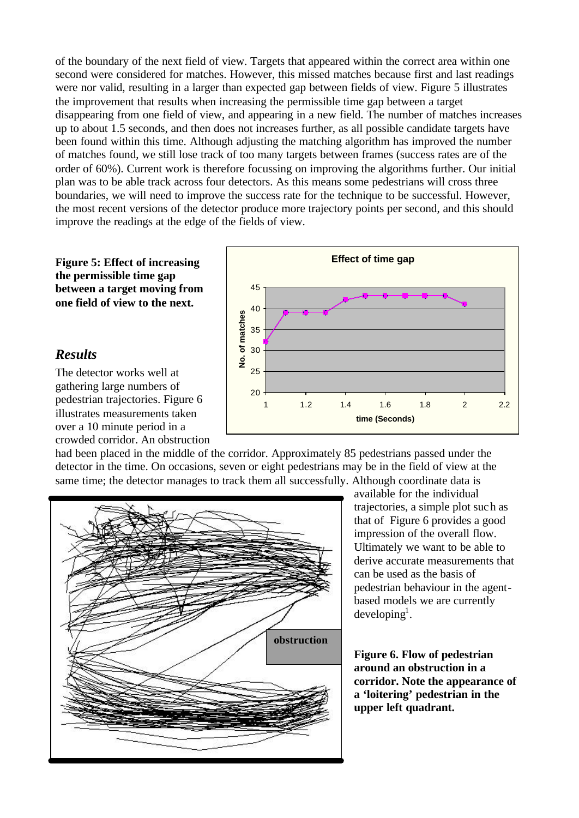of the boundary of the next field of view. Targets that appeared within the correct area within one second were considered for matches. However, this missed matches because first and last readings were nor valid, resulting in a larger than expected gap between fields of view. Figure 5 illustrates the improvement that results when increasing the permissible time gap between a target disappearing from one field of view, and appearing in a new field. The number of matches increases up to about 1.5 seconds, and then does not increases further, as all possible candidate targets have been found within this time. Although adjusting the matching algorithm has improved the number of matches found, we still lose track of too many targets between frames (success rates are of the order of 60%). Current work is therefore focussing on improving the algorithms further. Our initial plan was to be able track across four detectors. As this means some pedestrians will cross three boundaries, we will need to improve the success rate for the technique to be successful. However, the most recent versions of the detector produce more trajectory points per second, and this should improve the readings at the edge of the fields of view.

#### **Figure 5: Effect of increasing the permissible time gap between a target moving from one field of view to the next.**

#### *Results*

The detector works well at gathering large numbers of pedestrian trajectories. Figure 6 illustrates measurements taken over a 10 minute period in a crowded corridor. An obstruction



had been placed in the middle of the corridor. Approximately 85 pedestrians passed under the detector in the time. On occasions, seven or eight pedestrians may be in the field of view at the same time; the detector manages to track them all successfully. Although coordinate data is



available for the individual trajectories, a simple plot such as that of Figure 6 provides a good impression of the overall flow. Ultimately we want to be able to derive accurate measurements that can be used as the basis of pedestrian behaviour in the agentbased models we are currently developing<sup>1</sup>.

**Figure 6. Flow of pedestrian around an obstruction in a corridor. Note the appearance of a 'loitering' pedestrian in the upper left quadrant.**